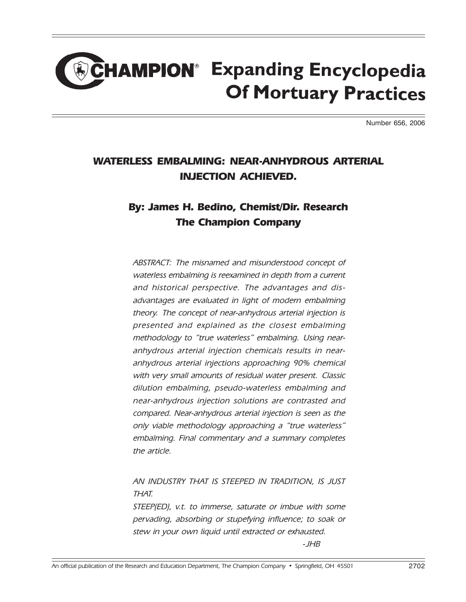# **CHAMPION**<sup>®</sup> Expanding Encyclopedia **Of Mortuary Practices**

Number 656, 2006

## WATERLESS EMBALMING: NEAR-ANHYDROUS ARTERIAL INJECTION ACHIEVED.

## By: James H. Bedino, Chemist/Dir. Research The Champion Company

ABSTRACT: The misnamed and misunderstood concept of waterless embalming is reexamined in depth from a current and historical perspective. The advantages and disadvantages are evaluated in light of modern embalming theory. The concept of near-anhydrous arterial injection is presented and explained as the closest embalming methodology to "true waterless" embalming. Using nearanhydrous arterial injection chemicals results in nearanhydrous arterial injections approaching 90% chemical with very small amounts of residual water present. Classic dilution embalming, pseudo-waterless embalming and near-anhydrous injection solutions are contrasted and compared. Near-anhydrous arterial injection is seen as the only viable methodology approaching a "true waterless" embalming. Final commentary and a summary completes the article.

### AN INDUSTRY THAT IS STEEPED IN TRADITION, IS JUST THAT.

STEEP(ED), v.t. to immerse, saturate or imbue with some pervading, absorbing or stupefying influence; to soak or stew in your own liquid until extracted or exhausted.

-JHB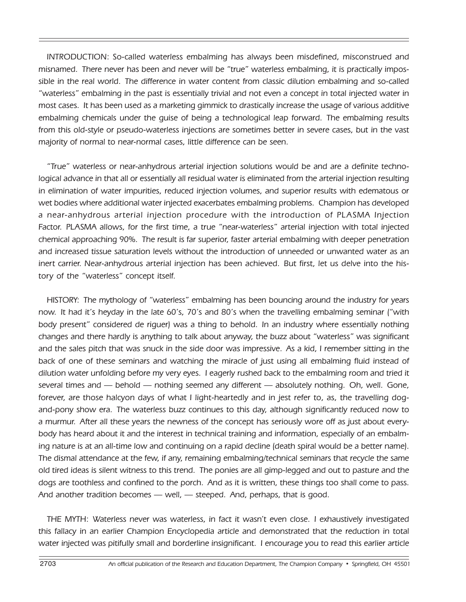INTRODUCTION: So-called waterless embalming has always been misdefined, misconstrued and misnamed. There never has been and never will be "true" waterless embalming, it is practically impossible in the real world. The difference in water content from classic dilution embalming and so-called "waterless" embalming in the past is essentially trivial and not even a concept in total injected water in most cases. It has been used as a marketing gimmick to drastically increase the usage of various additive embalming chemicals under the guise of being a technological leap forward. The embalming results from this old-style or pseudo-waterless injections are sometimes better in severe cases, but in the vast majority of normal to near-normal cases, little difference can be seen.

"True" waterless or near-anhydrous arterial injection solutions would be and are a definite technological advance in that all or essentially all residual water is eliminated from the arterial injection resulting in elimination of water impurities, reduced injection volumes, and superior results with edematous or wet bodies where additional water injected exacerbates embalming problems. Champion has developed a near-anhydrous arterial injection procedure with the introduction of PLASMA Injection Factor. PLASMA allows, for the first time, a true "near-waterless" arterial injection with total injected chemical approaching 90%. The result is far superior, faster arterial embalming with deeper penetration and increased tissue saturation levels without the introduction of unneeded or unwanted water as an inert carrier. Near-anhydrous arterial injection has been achieved. But first, let us delve into the history of the "waterless" concept itself.

HISTORY: The mythology of "waterless" embalming has been bouncing around the industry for years now. It had it's heyday in the late 60's, 70's and 80's when the travelling embalming seminar ("with body present" considered de riguer) was a thing to behold. In an industry where essentially nothing changes and there hardly is anything to talk about anyway, the buzz about "waterless" was significant and the sales pitch that was snuck in the side door was impressive. As a kid, I remember sitting in the back of one of these seminars and watching the miracle of just using all embalming fluid instead of dilution water unfolding before my very eyes. I eagerly rushed back to the embalming room and tried it several times and — behold — nothing seemed any different — absolutely nothing. Oh, well. Gone, forever, are those halcyon days of what I light-heartedly and in jest refer to, as, the travelling dogand-pony show era. The waterless buzz continues to this day, although significantly reduced now to a murmur. After all these years the newness of the concept has seriously wore off as just about everybody has heard about it and the interest in technical training and information, especially of an embalming nature is at an all-time low and continuing on a rapid decline (death spiral would be a better name). The dismal attendance at the few, if any, remaining embalming/technical seminars that recycle the same old tired ideas is silent witness to this trend. The ponies are all gimp-legged and out to pasture and the dogs are toothless and confined to the porch. And as it is written, these things too shall come to pass. And another tradition becomes — well, — steeped. And, perhaps, that is good.

THE MYTH: Waterless never was waterless, in fact it wasn't even close. I exhaustively investigated this fallacy in an earlier Champion Encyclopedia article and demonstrated that the reduction in total water injected was pitifully small and borderline insignificant. I encourage you to read this earlier article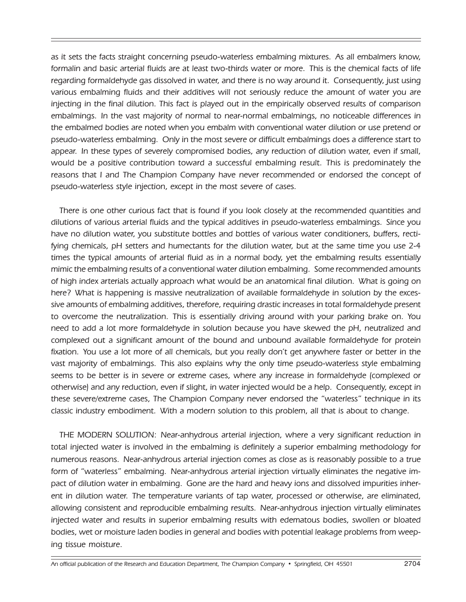as it sets the facts straight concerning pseudo-waterless embalming mixtures. As all embalmers know, formalin and basic arterial fluids are at least two-thirds water or more. This is the chemical facts of life regarding formaldehyde gas dissolved in water, and there is no way around it. Consequently, just using various embalming fluids and their additives will not seriously reduce the amount of water you are injecting in the final dilution. This fact is played out in the empirically observed results of comparison embalmings. In the vast majority of normal to near-normal embalmings, no noticeable differences in the embalmed bodies are noted when you embalm with conventional water dilution or use pretend or pseudo-waterless embalming. Only in the most severe or difficult embalmings does a difference start to appear. In these types of severely compromised bodies, any reduction of dilution water, even if small, would be a positive contribution toward a successful embalming result. This is predominately the reasons that I and The Champion Company have never recommended or endorsed the concept of pseudo-waterless style injection, except in the most severe of cases.

There is one other curious fact that is found if you look closely at the recommended quantities and dilutions of various arterial fluids and the typical additives in pseudo-waterless embalmings. Since you have no dilution water, you substitute bottles and bottles of various water conditioners, buffers, rectifying chemicals, pH setters and humectants for the dilution water, but at the same time you use 2-4 times the typical amounts of arterial fluid as in a normal body, yet the embalming results essentially mimic the embalming results of a conventional water dilution embalming. Some recommended amounts of high index arterials actually approach what would be an anatomical final dilution. What is going on here? What is happening is massive neutralization of available formaldehyde in solution by the excessive amounts of embalming additives, therefore, requiring drastic increases in total formaldehyde present to overcome the neutralization. This is essentially driving around with your parking brake on. You need to add a lot more formaldehyde in solution because you have skewed the pH, neutralized and complexed out a significant amount of the bound and unbound available formaldehyde for protein fixation. You use a lot more of all chemicals, but you really don't get anywhere faster or better in the vast majority of embalmings. This also explains why the only time pseudo-waterless style embalming seems to be better is in severe or extreme cases, where any increase in formaldehyde (complexed or otherwise) and any reduction, even if slight, in water injected would be a help. Consequently, except in these severe/extreme cases, The Champion Company never endorsed the "waterless" technique in its classic industry embodiment. With a modern solution to this problem, all that is about to change.

THE MODERN SOLUTION: Near-anhydrous arterial injection, where a very significant reduction in total injected water is involved in the embalming is definitely a superior embalming methodology for numerous reasons. Near-anhydrous arterial injection comes as close as is reasonably possible to a true form of "waterless" embalming. Near-anhydrous arterial injection virtually eliminates the negative impact of dilution water in embalming. Gone are the hard and heavy ions and dissolved impurities inherent in dilution water. The temperature variants of tap water, processed or otherwise, are eliminated, allowing consistent and reproducible embalming results. Near-anhydrous injection virtually eliminates injected water and results in superior embalming results with edematous bodies, swollen or bloated bodies, wet or moisture laden bodies in general and bodies with potential leakage problems from weeping tissue moisture.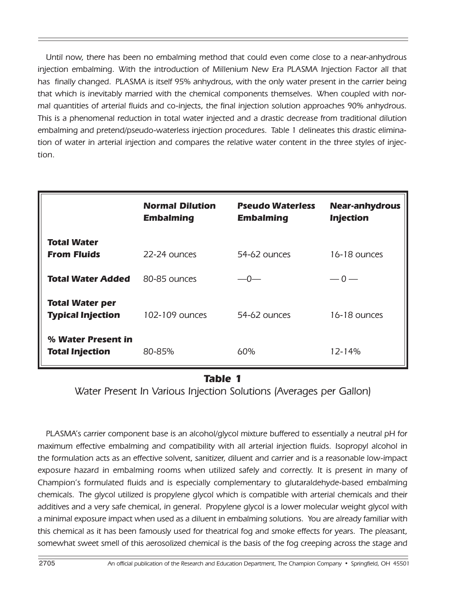Until now, there has been no embalming method that could even come close to a near-anhydrous injection embalming. With the introduction of Millenium New Era PLASMA Injection Factor all that has finally changed. PLASMA is itself 95% anhydrous, with the only water present in the carrier being that which is inevitably married with the chemical components themselves. When coupled with normal quantities of arterial fluids and co-injects, the final injection solution approaches 90% anhydrous. This is a phenomenal reduction in total water injected and a drastic decrease from traditional dilution embalming and pretend/pseudo-waterless injection procedures. Table 1 delineates this drastic elimination of water in arterial injection and compares the relative water content in the three styles of injection.

|                                                    | <b>Normal Dilution</b><br><b>Embalming</b> | <b>Pseudo Waterless</b><br><b>Embalming</b> | <b>Near-anhydrous</b><br><b>Injection</b> |
|----------------------------------------------------|--------------------------------------------|---------------------------------------------|-------------------------------------------|
| Total Water<br><b>From Fluids</b>                  | 22-24 ounces                               | $54-62$ ounces                              | 16-18 ounces                              |
| Total Water Added                                  | 80-85 ounces                               | —0—                                         | $-0-$                                     |
| <b>Total Water per</b><br><b>Typical Injection</b> | $102 - 109$ ounces                         | $54-62$ ounces                              | 16-18 ounces                              |
| % Water Present in<br><b>Total Injection</b>       | 80-85%                                     | 60%                                         | 12-14%                                    |

#### Table 1

Water Present In Various Injection Solutions (Averages per Gallon)

PLASMA's carrier component base is an alcohol/glycol mixture buffered to essentially a neutral pH for maximum effective embalming and compatibility with all arterial injection fluids. Isopropyl alcohol in the formulation acts as an effective solvent, sanitizer, diluent and carrier and is a reasonable low-impact exposure hazard in embalming rooms when utilized safely and correctly. It is present in many of Champion's formulated fluids and is especially complementary to glutaraldehyde-based embalming chemicals. The glycol utilized is propylene glycol which is compatible with arterial chemicals and their additives and a very safe chemical, in general. Propylene glycol is a lower molecular weight glycol with a minimal exposure impact when used as a diluent in embalming solutions. You are already familiar with this chemical as it has been famously used for theatrical fog and smoke effects for years. The pleasant, somewhat sweet smell of this aerosolized chemical is the basis of the fog creeping across the stage and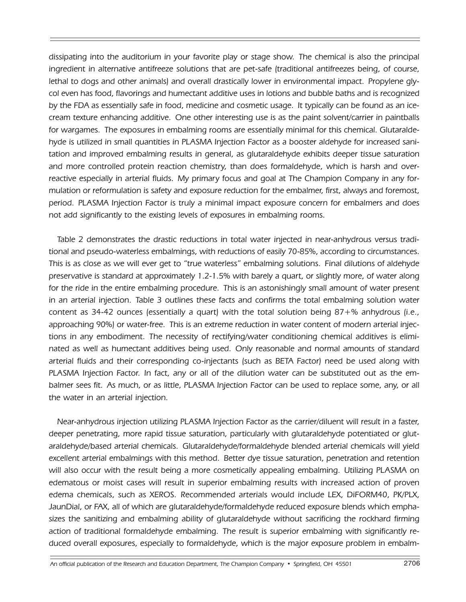dissipating into the auditorium in your favorite play or stage show. The chemical is also the principal ingredient in alternative antifreeze solutions that are pet-safe (traditional antifreezes being, of course, lethal to dogs and other animals) and overall drastically lower in environmental impact. Propylene glycol even has food, flavorings and humectant additive uses in lotions and bubble baths and is recognized by the FDA as essentially safe in food, medicine and cosmetic usage. It typically can be found as an icecream texture enhancing additive. One other interesting use is as the paint solvent/carrier in paintballs for wargames. The exposures in embalming rooms are essentially minimal for this chemical. Glutaraldehyde is utilized in small quantities in PLASMA Injection Factor as a booster aldehyde for increased sanitation and improved embalming results in general, as glutaraldehyde exhibits deeper tissue saturation and more controlled protein reaction chemistry, than does formaldehyde, which is harsh and overreactive especially in arterial fluids. My primary focus and goal at The Champion Company in any formulation or reformulation is safety and exposure reduction for the embalmer, first, always and foremost, period. PLASMA Injection Factor is truly a minimal impact exposure concern for embalmers and does not add significantly to the existing levels of exposures in embalming rooms.

Table 2 demonstrates the drastic reductions in total water injected in near-anhydrous versus traditional and pseudo-waterless embalmings, with reductions of easily 70-85%, according to circumstances. This is as close as we will ever get to "true waterless" embalming solutions. Final dilutions of aldehyde preservative is standard at approximately 1.2-1.5% with barely a quart, or slightly more, of water along for the ride in the entire embalming procedure. This is an astonishingly small amount of water present in an arterial injection. Table 3 outlines these facts and confirms the total embalming solution water content as 34-42 ounces (essentially a quart) with the total solution being 87+% anhydrous (i.e., approaching 90%) or water-free. This is an extreme reduction in water content of modern arterial injections in any embodiment. The necessity of rectifying/water conditioning chemical additives is eliminated as well as humectant additives being used. Only reasonable and normal amounts of standard arterial fluids and their corresponding co-injectants (such as BETA Factor) need be used along with PLASMA Injection Factor. In fact, any or all of the dilution water can be substituted out as the embalmer sees fit. As much, or as little, PLASMA Injection Factor can be used to replace some, any, or all the water in an arterial injection.

Near-anhydrous injection utilizing PLASMA Injection Factor as the carrier/diluent will result in a faster, deeper penetrating, more rapid tissue saturation, particularly with glutaraldehyde potentiated or glutaraldehyde/based arterial chemicals. Glutaraldehyde/formaldehyde blended arterial chemicals will yield excellent arterial embalmings with this method. Better dye tissue saturation, penetration and retention will also occur with the result being a more cosmetically appealing embalming. Utilizing PLASMA on edematous or moist cases will result in superior embalming results with increased action of proven edema chemicals, such as XEROS. Recommended arterials would include LEX, DiFORM40, PK/PLX, JaunDial, or FAX, all of which are glutaraldehyde/formaldehyde reduced exposure blends which emphasizes the sanitizing and embalming ability of glutaraldehyde without sacrificing the rockhard firming action of traditional formaldehyde embalming. The result is superior embalming with significantly reduced overall exposures, especially to formaldehyde, which is the major exposure problem in embalm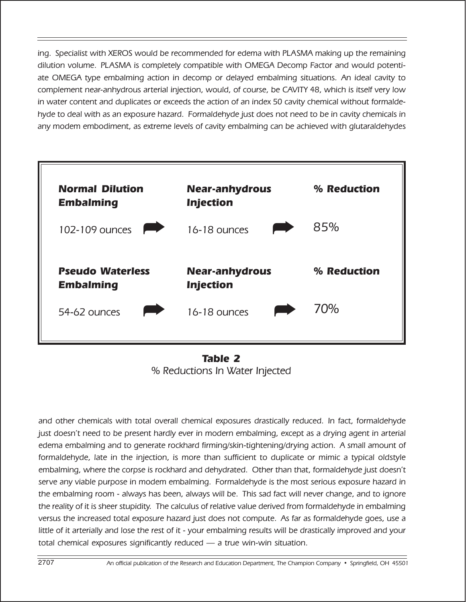ing. Specialist with XEROS would be recommended for edema with PLASMA making up the remaining dilution volume. PLASMA is completely compatible with OMEGA Decomp Factor and would potentiate OMEGA type embalming action in decomp or delayed embalming situations. An ideal cavity to complement near-anhydrous arterial injection, would, of course, be CAVITY 48, which is itself very low in water content and duplicates or exceeds the action of an index 50 cavity chemical without formaldehyde to deal with as an exposure hazard. Formaldehyde just does not need to be in cavity chemicals in any modem embodiment, as extreme levels of cavity embalming can be achieved with glutaraldehydes



Table 2 % Reductions In Water Injected

and other chemicals with total overall chemical exposures drastically reduced. In fact, formaldehyde just doesn't need to be present hardly ever in modern embalming, except as a drying agent in arterial edema embalming and to generate rockhard firming/skin-tightening/drying action. A small amount of formaldehyde, late in the injection, is more than sufficient to duplicate or mimic a typical oldstyle embalming, where the corpse is rockhard and dehydrated. Other than that, formaldehyde just doesn't serve any viable purpose in modem embalming. Formaldehyde is the most serious exposure hazard in the embalming room - always has been, always will be. This sad fact will never change, and to ignore the reality of it is sheer stupidity. The calculus of relative value derived from formaldehyde in embalming versus the increased total exposure hazard just does not compute. As far as formaldehyde goes, use a little of it arterially and lose the rest of it - your embalming results will be drastically improved and your total chemical exposures significantly reduced — a true win-win situation.